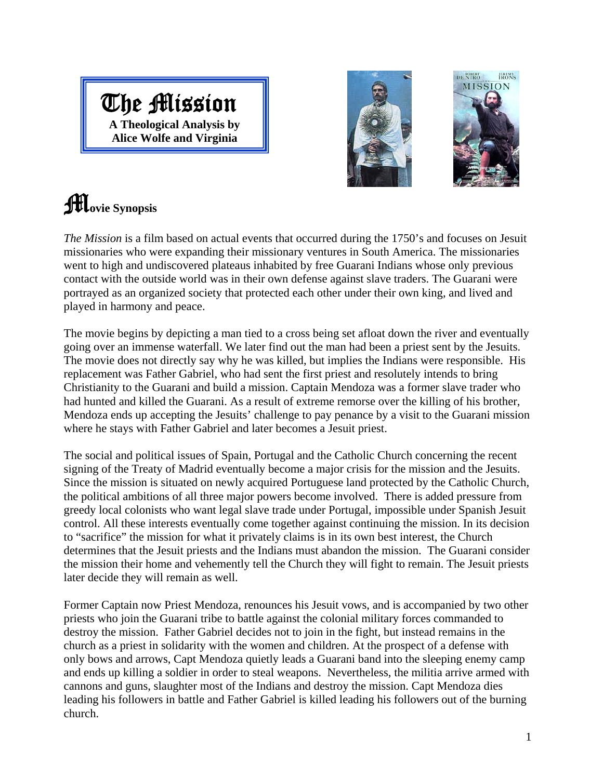## The Mission

**A Theological Analysis by Alice Wolfe and Virginia** 



### M**ovie Synopsis**

*The Mission* is a film based on actual events that occurred during the 1750's and focuses on Jesuit missionaries who were expanding their missionary ventures in South America. The missionaries went to high and undiscovered plateaus inhabited by free Guarani Indians whose only previous contact with the outside world was in their own defense against slave traders. The Guarani were portrayed as an organized society that protected each other under their own king, and lived and played in harmony and peace.

The movie begins by depicting a man tied to a cross being set afloat down the river and eventually going over an immense waterfall. We later find out the man had been a priest sent by the Jesuits. The movie does not directly say why he was killed, but implies the Indians were responsible. His replacement was Father Gabriel, who had sent the first priest and resolutely intends to bring Christianity to the Guarani and build a mission. Captain Mendoza was a former slave trader who had hunted and killed the Guarani. As a result of extreme remorse over the killing of his brother, Mendoza ends up accepting the Jesuits' challenge to pay penance by a visit to the Guarani mission where he stays with Father Gabriel and later becomes a Jesuit priest.

The social and political issues of Spain, Portugal and the Catholic Church concerning the recent signing of the Treaty of Madrid eventually become a major crisis for the mission and the Jesuits. Since the mission is situated on newly acquired Portuguese land protected by the Catholic Church, the political ambitions of all three major powers become involved. There is added pressure from greedy local colonists who want legal slave trade under Portugal, impossible under Spanish Jesuit control. All these interests eventually come together against continuing the mission. In its decision to "sacrifice" the mission for what it privately claims is in its own best interest, the Church determines that the Jesuit priests and the Indians must abandon the mission. The Guarani consider the mission their home and vehemently tell the Church they will fight to remain. The Jesuit priests later decide they will remain as well.

Former Captain now Priest Mendoza, renounces his Jesuit vows, and is accompanied by two other priests who join the Guarani tribe to battle against the colonial military forces commanded to destroy the mission. Father Gabriel decides not to join in the fight, but instead remains in the church as a priest in solidarity with the women and children. At the prospect of a defense with only bows and arrows, Capt Mendoza quietly leads a Guarani band into the sleeping enemy camp and ends up killing a soldier in order to steal weapons. Nevertheless, the militia arrive armed with cannons and guns, slaughter most of the Indians and destroy the mission. Capt Mendoza dies leading his followers in battle and Father Gabriel is killed leading his followers out of the burning church.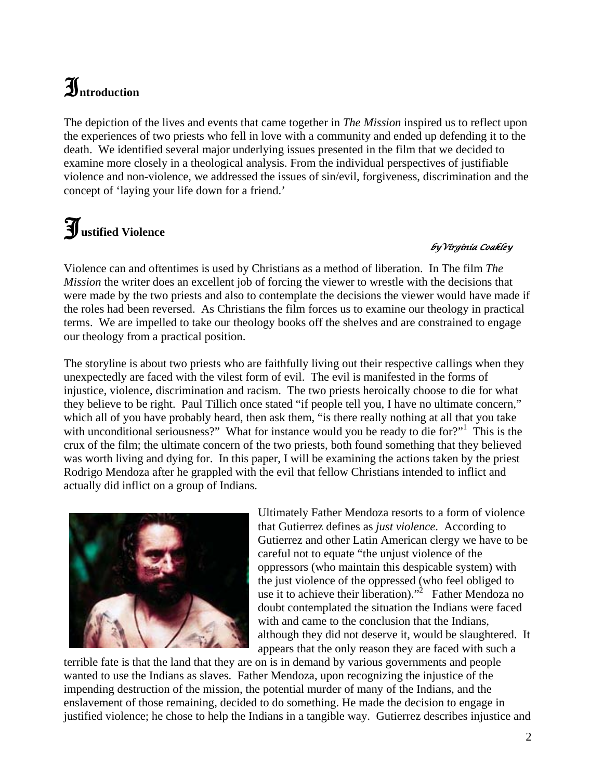## $\mathfrak{I}$ <sub>ntroduction</sub>

The depiction of the lives and events that came together in *The Mission* inspired us to reflect upon the experiences of two priests who fell in love with a community and ended up defending it to the death. We identified several major underlying issues presented in the film that we decided to examine more closely in a theological analysis. From the individual perspectives of justifiable violence and non-violence, we addressed the issues of sin/evil, forgiveness, discrimination and the concept of 'laying your life down for a friend.'

# J**ustified Violence**

#### *byVirginia Coakley*

Violence can and oftentimes is used by Christians as a method of liberation. In The film *The Mission* the writer does an excellent job of forcing the viewer to wrestle with the decisions that were made by the two priests and also to contemplate the decisions the viewer would have made if the roles had been reversed. As Christians the film forces us to examine our theology in practical terms. We are impelled to take our theology books off the shelves and are constrained to engage our theology from a practical position.

The storyline is about two priests who are faithfully living out their respective callings when they unexpectedly are faced with the vilest form of evil. The evil is manifested in the forms of injustice, violence, discrimination and racism. The two priests heroically choose to die for what they believe to be right. Paul Tillich once stated "if people tell you, I have no ultimate concern," which all of you have probably heard, then ask them, "is there really nothing at all that you take with unconditional seriousness?" What for instance would you be ready to die for?"<sup>[1](#page-14-0)</sup> This is the crux of the film; the ultimate concern of the two priests, both found something that they believed was worth living and dying for. In this paper, I will be examining the actions taken by the priest Rodrigo Mendoza after he grappled with the evil that fellow Christians intended to inflict and actually did inflict on a group of Indians.



Ultimately Father Mendoza resorts to a form of violence that Gutierrez defines as *just violence*. According to Gutierrez and other Latin American clergy we have to be careful not to equate "the unjust violence of the oppressors (who maintain this despicable system) with the just violence of the oppressed (who feel obliged to use it to achieve their liberation)."<sup>[2](#page-14-1)</sup> Father Mendoza no doubt contemplated the situation the Indians were faced with and came to the conclusion that the Indians, although they did not deserve it, would be slaughtered. It appears that the only reason they are faced with such a

terrible fate is that the land that they are on is in demand by various governments and people wanted to use the Indians as slaves. Father Mendoza, upon recognizing the injustice of the impending destruction of the mission, the potential murder of many of the Indians, and the enslavement of those remaining, decided to do something. He made the decision to engage in justified violence; he chose to help the Indians in a tangible way. Gutierrez describes injustice and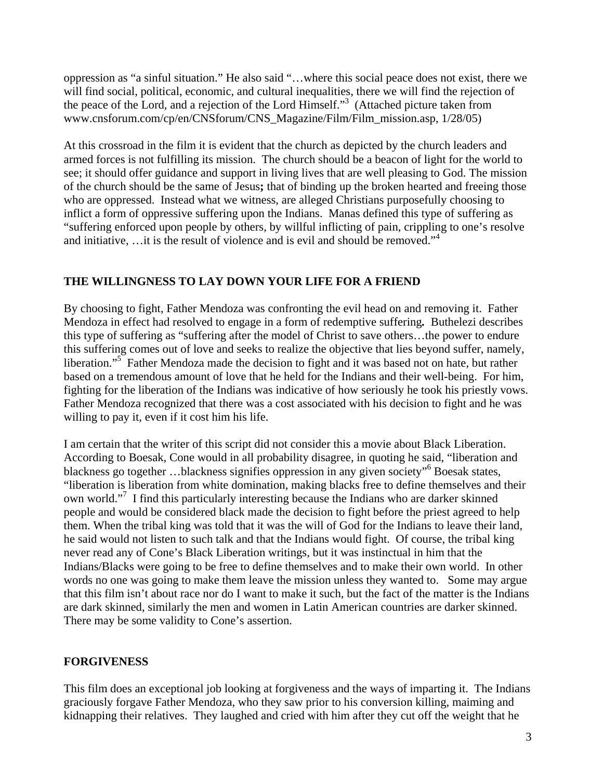oppression as "a sinful situation." He also said "…where this social peace does not exist, there we will find social, political, economic, and cultural inequalities, there we will find the rejection of the peace of the Lord, and a rejection of the Lord Himself."<sup>3</sup> (Attached picture taken from www.cnsforum.com/cp/en/CNSforum/CNS\_Magazine/Film/Film\_mission.asp, 1/28/05)

At this crossroad in the film it is evident that the church as depicted by the church leaders and armed forces is not fulfilling its mission. The church should be a beacon of light for the world to see; it should offer guidance and support in living lives that are well pleasing to God. The mission of the church should be the same of Jesus**;** that of binding up the broken hearted and freeing those who are oppressed. Instead what we witness, are alleged Christians purposefully choosing to inflict a form of oppressive suffering upon the Indians. Manas defined this type of suffering as "suffering enforced upon people by others, by willful inflicting of pain, crippling to one's resolve and initiative, ... it is the result of violence and is evil and should be removed."<sup>[4](#page-14-3)</sup>

#### **THE WILLINGNESS TO LAY DOWN YOUR LIFE FOR A FRIEND**

By choosing to fight, Father Mendoza was confronting the evil head on and removing it. Father Mendoza in effect had resolved to engage in a form of redemptive suffering*.* Buthelezi describes this type of suffering as "suffering after the model of Christ to save others…the power to endure this suffering comes out of love and seeks to realize the objective that lies beyond suffer, namely, liberation."<sup>5</sup> Father Mendoza made the decision to fight and it was based not on hate, but rather based on a tremendous amount of love that he held for the Indians and their well-being. For him, fighting for the liberation of the Indians was indicative of how seriously he took his priestly vows. Father Mendoza recognized that there was a cost associated with his decision to fight and he was willing to pay it, even if it cost him his life.

I am certain that the writer of this script did not consider this a movie about Black Liberation. According to Boesak, Cone would in all probability disagree, in quoting he said, "liberation and blackness go together ...blackness signifies oppression in any given society"<sup>[6](#page-14-5)</sup> Boesak states, "liberation is liberation from white domination, making blacks free to define themselves and their own world."<sup>[7](#page-14-6)</sup> I find this particularly interesting because the Indians who are darker skinned people and would be considered black made the decision to fight before the priest agreed to help them. When the tribal king was told that it was the will of God for the Indians to leave their land, he said would not listen to such talk and that the Indians would fight. Of course, the tribal king never read any of Cone's Black Liberation writings, but it was instinctual in him that the Indians/Blacks were going to be free to define themselves and to make their own world. In other words no one was going to make them leave the mission unless they wanted to. Some may argue that this film isn't about race nor do I want to make it such, but the fact of the matter is the Indians are dark skinned, similarly the men and women in Latin American countries are darker skinned. There may be some validity to Cone's assertion.

#### **FORGIVENESS**

This film does an exceptional job looking at forgiveness and the ways of imparting it. The Indians graciously forgave Father Mendoza, who they saw prior to his conversion killing, maiming and kidnapping their relatives. They laughed and cried with him after they cut off the weight that he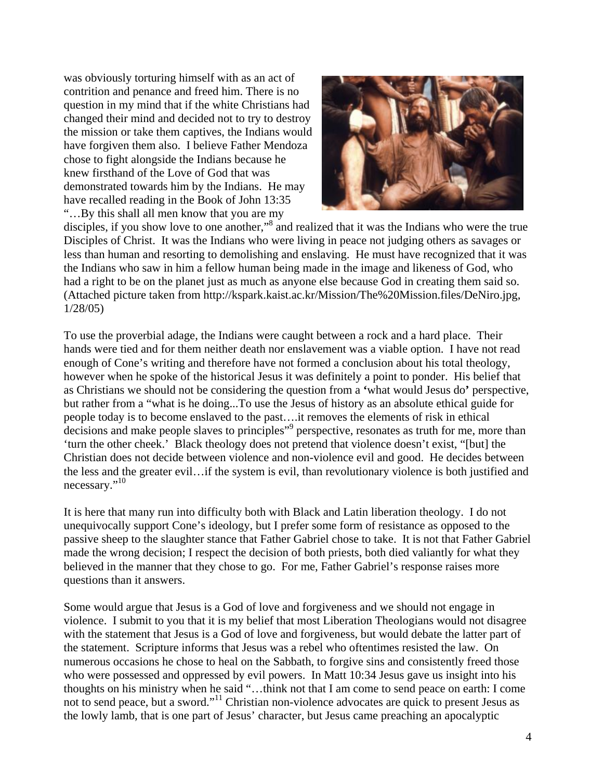was obviously torturing himself with as an act of contrition and penance and freed him. There is no question in my mind that if the white Christians had changed their mind and decided not to try to destroy the mission or take them captives, the Indians would have forgiven them also. I believe Father Mendoza chose to fight alongside the Indians because he knew firsthand of the Love of God that was demonstrated towards him by the Indians. He may have recalled reading in the Book of John 13:35 "…By this shall all men know that you are my



disciples, if you show love to one another,"<sup>8</sup> and realized that it was the Indians who were the true Disciples of Christ. It was the Indians who were living in peace not judging others as savages or less than human and resorting to demolishing and enslaving. He must have recognized that it was the Indians who saw in him a fellow human being made in the image and likeness of God, who had a right to be on the planet just as much as anyone else because God in creating them said so. (Attached picture taken from http://kspark.kaist.ac.kr/Mission/The%20Mission.files/DeNiro.jpg, 1/28/05)

To use the proverbial adage, the Indians were caught between a rock and a hard place. Their hands were tied and for them neither death nor enslavement was a viable option. I have not read enough of Cone's writing and therefore have not formed a conclusion about his total theology, however when he spoke of the historical Jesus it was definitely a point to ponder. His belief that as Christians we should not be considering the question from a **'**what would Jesus do**'** perspective, but rather from a "what is he doing...To use the Jesus of history as an absolute ethical guide for people today is to become enslaved to the past….it removes the elements of risk in ethical decisions and make people slaves to principles<sup>["9](#page-14-8)</sup> perspective, resonates as truth for me, more than 'turn the other cheek.' Black theology does not pretend that violence doesn't exist, "[but] the Christian does not decide between violence and non-violence evil and good. He decides between the less and the greater evil…if the system is evil, than revolutionary violence is both justified and necessary."<sup>10</sup>

It is here that many run into difficulty both with Black and Latin liberation theology. I do not unequivocally support Cone's ideology, but I prefer some form of resistance as opposed to the passive sheep to the slaughter stance that Father Gabriel chose to take. It is not that Father Gabriel made the wrong decision; I respect the decision of both priests, both died valiantly for what they believed in the manner that they chose to go. For me, Father Gabriel's response raises more questions than it answers.

Some would argue that Jesus is a God of love and forgiveness and we should not engage in violence. I submit to you that it is my belief that most Liberation Theologians would not disagree with the statement that Jesus is a God of love and forgiveness, but would debate the latter part of the statement. Scripture informs that Jesus was a rebel who oftentimes resisted the law. On numerous occasions he chose to heal on the Sabbath, to forgive sins and consistently freed those who were possessed and oppressed by evil powers. In Matt 10:34 Jesus gave us insight into his thoughts on his ministry when he said "…think not that I am come to send peace on earth: I come not to send peace, but a sword."[11](#page-14-10) Christian non-violence advocates are quick to present Jesus as the lowly lamb, that is one part of Jesus' character, but Jesus came preaching an apocalyptic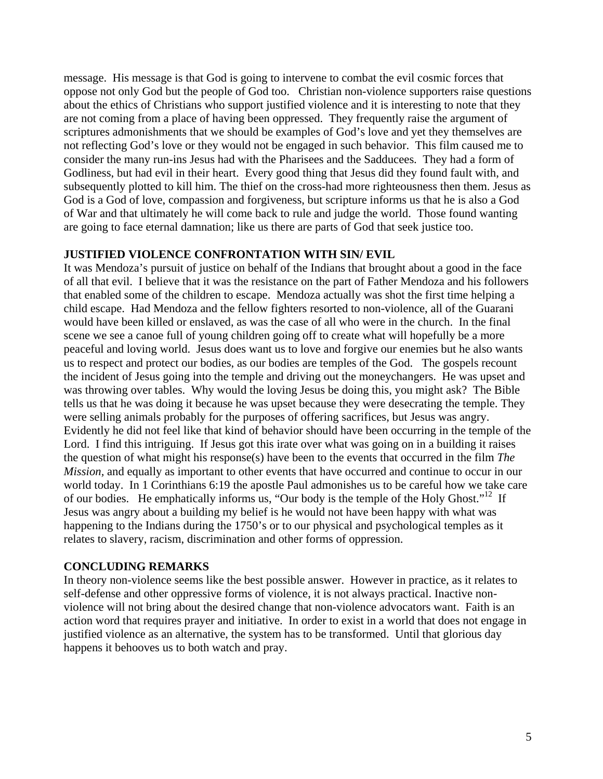message. His message is that God is going to intervene to combat the evil cosmic forces that oppose not only God but the people of God too. Christian non-violence supporters raise questions about the ethics of Christians who support justified violence and it is interesting to note that they are not coming from a place of having been oppressed. They frequently raise the argument of scriptures admonishments that we should be examples of God's love and yet they themselves are not reflecting God's love or they would not be engaged in such behavior. This film caused me to consider the many run-ins Jesus had with the Pharisees and the Sadducees. They had a form of Godliness, but had evil in their heart. Every good thing that Jesus did they found fault with, and subsequently plotted to kill him. The thief on the cross-had more righteousness then them. Jesus as God is a God of love, compassion and forgiveness, but scripture informs us that he is also a God of War and that ultimately he will come back to rule and judge the world. Those found wanting are going to face eternal damnation; like us there are parts of God that seek justice too.

#### **JUSTIFIED VIOLENCE CONFRONTATION WITH SIN/ EVIL**

It was Mendoza's pursuit of justice on behalf of the Indians that brought about a good in the face of all that evil. I believe that it was the resistance on the part of Father Mendoza and his followers that enabled some of the children to escape. Mendoza actually was shot the first time helping a child escape. Had Mendoza and the fellow fighters resorted to non-violence, all of the Guarani would have been killed or enslaved, as was the case of all who were in the church. In the final scene we see a canoe full of young children going off to create what will hopefully be a more peaceful and loving world. Jesus does want us to love and forgive our enemies but he also wants us to respect and protect our bodies, as our bodies are temples of the God. The gospels recount the incident of Jesus going into the temple and driving out the moneychangers. He was upset and was throwing over tables. Why would the loving Jesus be doing this, you might ask? The Bible tells us that he was doing it because he was upset because they were desecrating the temple. They were selling animals probably for the purposes of offering sacrifices, but Jesus was angry. Evidently he did not feel like that kind of behavior should have been occurring in the temple of the Lord. I find this intriguing. If Jesus got this irate over what was going on in a building it raises the question of what might his response(s) have been to the events that occurred in the film *The Mission*, and equally as important to other events that have occurred and continue to occur in our world today. In 1 Corinthians 6:19 the apostle Paul admonishes us to be careful how we take care of our bodies. He emphatically informs us, "Our body is the temple of the Holy Ghost."<sup>12</sup> If Jesus was angry about a building my belief is he would not have been happy with what was happening to the Indians during the 1750's or to our physical and psychological temples as it relates to slavery, racism, discrimination and other forms of oppression.

#### **CONCLUDING REMARKS**

In theory non-violence seems like the best possible answer. However in practice, as it relates to self-defense and other oppressive forms of violence, it is not always practical. Inactive nonviolence will not bring about the desired change that non-violence advocators want. Faith is an action word that requires prayer and initiative. In order to exist in a world that does not engage in justified violence as an alternative, the system has to be transformed. Until that glorious day happens it behooves us to both watch and pray.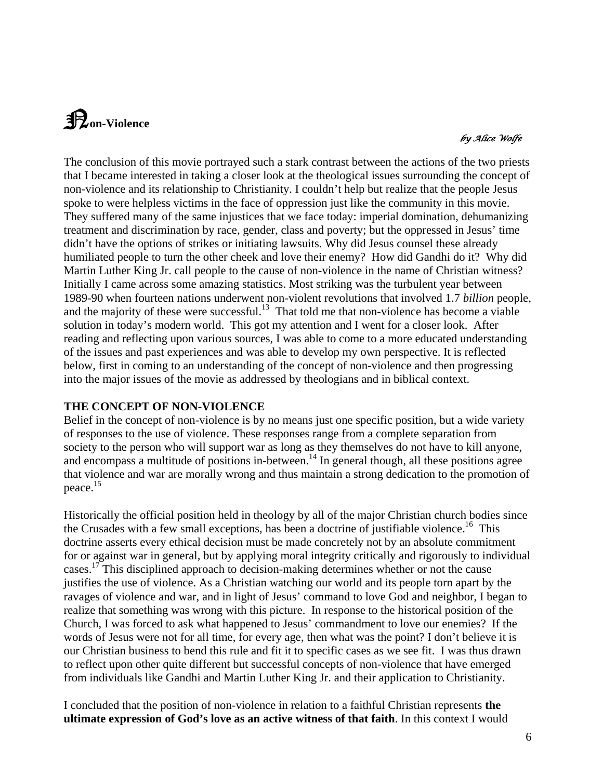## N**on-Violence**

#### $\bm{b}$ y Alice Wolfe

The conclusion of this movie portrayed such a stark contrast between the actions of the two priests that I became interested in taking a closer look at the theological issues surrounding the concept of non-violence and its relationship to Christianity. I couldn't help but realize that the people Jesus spoke to were helpless victims in the face of oppression just like the community in this movie. They suffered many of the same injustices that we face today: imperial domination, dehumanizing treatment and discrimination by race, gender, class and poverty; but the oppressed in Jesus' time didn't have the options of strikes or initiating lawsuits. Why did Jesus counsel these already humiliated people to turn the other cheek and love their enemy? How did Gandhi do it? Why did Martin Luther King Jr. call people to the cause of non-violence in the name of Christian witness? Initially I came across some amazing statistics. Most striking was the turbulent year between 1989-90 when fourteen nations underwent non-violent revolutions that involved 1.7 *billion* people, and the majority of these were successful.<sup>13</sup> That told me that non-violence has become a viable solution in today's modern world. This got my attention and I went for a closer look. After reading and reflecting upon various sources, I was able to come to a more educated understanding of the issues and past experiences and was able to develop my own perspective. It is reflected below, first in coming to an understanding of the concept of non-violence and then progressing into the major issues of the movie as addressed by theologians and in biblical context.

#### **THE CONCEPT OF NON-VIOLENCE**

Belief in the concept of non-violence is by no means just one specific position, but a wide variety of responses to the use of violence. These responses range from a complete separation from society to the person who will support war as long as they themselves do not have to kill anyone, and encompass a multitude of positions in-between.<sup>14</sup> In general though, all these positions agree that violence and war are morally wrong and thus maintain a strong dedication to the promotion of peace[.15](#page-14-14) 

Historically the official position held in theology by all of the major Christian church bodies since the Crusades with a few small exceptions, has been a doctrine of justifiable violence.<sup>16</sup> This doctrine asserts every ethical decision must be made concretely not by an absolute commitment for or against war in general, but by applying moral integrity critically and rigorously to individual cases.<sup>17</sup> This disciplined approach to decision-making determines whether or not the cause justifies the use of violence. As a Christian watching our world and its people torn apart by the ravages of violence and war, and in light of Jesus' command to love God and neighbor, I began to realize that something was wrong with this picture. In response to the historical position of the Church, I was forced to ask what happened to Jesus' commandment to love our enemies? If the words of Jesus were not for all time, for every age, then what was the point? I don't believe it is our Christian business to bend this rule and fit it to specific cases as we see fit. I was thus drawn to reflect upon other quite different but successful concepts of non-violence that have emerged from individuals like Gandhi and Martin Luther King Jr. and their application to Christianity.

I concluded that the position of non-violence in relation to a faithful Christian represents **the ultimate expression of God's love as an active witness of that faith**. In this context I would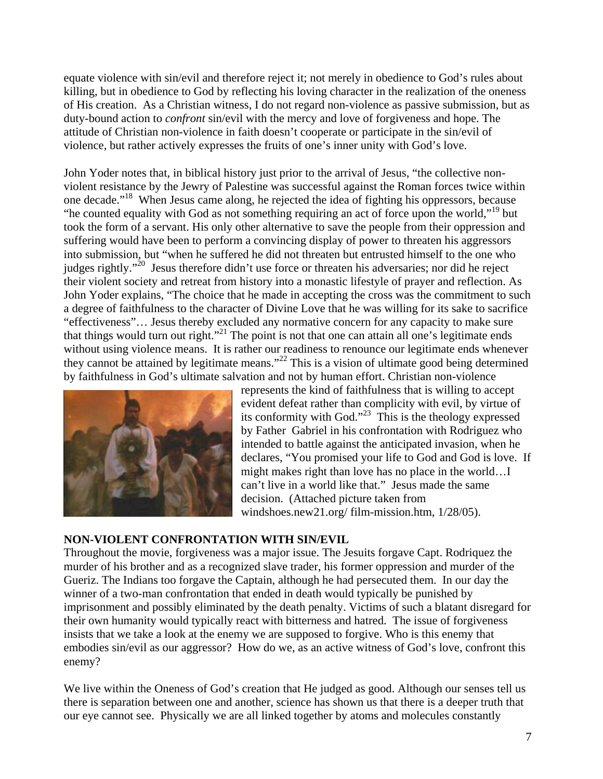equate violence with sin/evil and therefore reject it; not merely in obedience to God's rules about killing, but in obedience to God by reflecting his loving character in the realization of the oneness of His creation. As a Christian witness, I do not regard non-violence as passive submission, but as duty-bound action to *confront* sin/evil with the mercy and love of forgiveness and hope. The attitude of Christian non-violence in faith doesn't cooperate or participate in the sin/evil of violence, but rather actively expresses the fruits of one's inner unity with God's love.

John Yoder notes that, in biblical history just prior to the arrival of Jesus, "the collective nonviolent resistance by the Jewry of Palestine was successful against the Roman forces twice within one decade." [18](#page-14-17) When Jesus came along, he rejected the idea of fighting his oppressors, because "he counted equality with God as not something requiring an act of force upon the world,"<sup>19</sup> but took the form of a servant. His only other alternative to save the people from their oppression and suffering would have been to perform a convincing display of power to threaten his aggressors into submission, but "when he suffered he did not threaten but entrusted himself to the one who judges rightly."<sup>20</sup> Jesus therefore didn't use force or threaten his adversaries; nor did he reject their violent society and retreat from history into a monastic lifestyle of prayer and reflection. As John Yoder explains, "The choice that he made in accepting the cross was the commitment to such a degree of faithfulness to the character of Divine Love that he was willing for its sake to sacrifice "effectiveness"… Jesus thereby excluded any normative concern for any capacity to make sure that things would turn out right."<sup>21</sup> The point is not that one can attain all one's legitimate ends without using violence means. It is rather our readiness to renounce our legitimate ends whenever they cannot be attained by legitimate means."<sup>22</sup> This is a vision of ultimate good being determined by faithfulness in God's ultimate salvation and not by human effort. Christian non-violence



declares, "You promised your life to God and God is love. If represents the kind of faithfulness that is willing to accept evident defeat rather than complicity with evil, by virtue of its conformity with God."<sup>23</sup> This is the theology expressed by Father Gabriel in his confrontation with Rodriguez who intended to battle against the anticipated invasion, when he might makes right than love has no place in the world…I can't live in a world like that." Jesus made the same decision. (Attached picture taken from windshoes.new21.org/ film-mission.htm, 1/28/05).

#### **NON-VIOLENT CONFRONTATION WITH SIN/EVIL**

Throughout the movie, forgiveness was a major issue. The Jesuits forgave Capt. Rodriquez the murder of his brother and as a recognized slave trader, his former oppression and murder of the Gueriz. The Indians too forgave the Captain, although he had persecuted them. In our day the winner of a two-man confrontation that ended in death would typically be punished by imprisonment and possibly eliminated by the death penalty. Victims of such a blatant disregard for their own humanity would typically react with bitterness and hatred. The issue of forgiveness insists that we take a look at the enemy we are supposed to forgive. Who is this enemy that embodies sin/evil as our aggressor? How do we, as an active witness of God's love, confront this enemy?

We live within the Oneness of God's creation that He judged as good. Although our senses tell us there is separation between one and another, science has shown us that there is a deeper truth that our eye cannot see. Physically we are all linked together by atoms and molecules constantly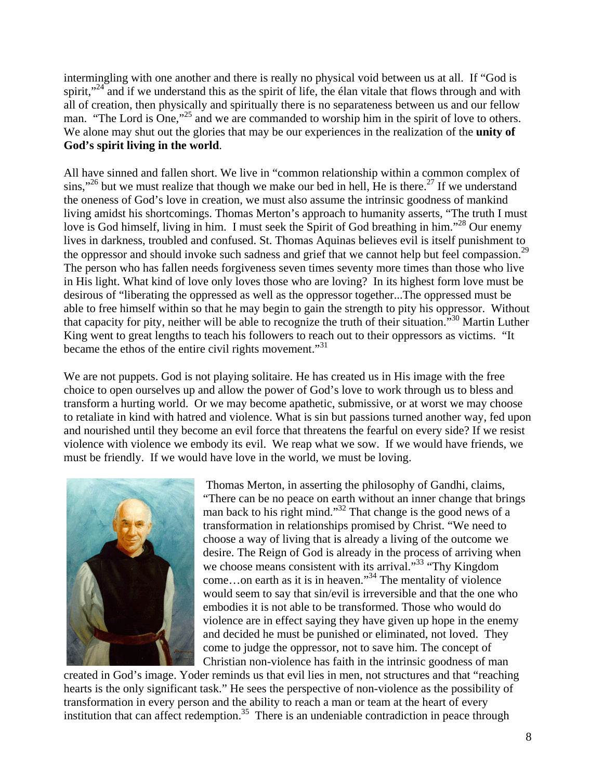intermingling with one another and there is really no physical void between us at all. If "God is spirit,"<sup>24</sup> and if we understand this as the spirit of life, the élan vitale that flows through and with all of creation, then physically and spiritually there is no separateness between us and our fellow man. "The Lord is One,"<sup>25</sup> and we are commanded to worship him in the spirit of love to others. We alone may shut out the glories that may be our experiences in the realization of the **unity of God's spirit living in the world**.

All have sinned and fallen short. We live in "common relationship within a common complex of sins,"<sup>26</sup> but we must realize that though we make our bed in hell, He is there.<sup>27</sup> If we understand the oneness of God's love in creation, we must also assume the intrinsic goodness of mankind living amidst his shortcomings. Thomas Merton's approach to humanity asserts, "The truth I must love is God himself, living in him. I must seek the Spirit of God breathing in him."<sup>28</sup> Our enemy lives in darkness, troubled and confused. St. Thomas Aquinas believes evil is itself punishment to the oppressor and should invoke such sadness and grief that we cannot help but feel compassion.<sup>[29](#page-14-28)</sup> The person who has fallen needs forgiveness seven times seventy more times than those who live in His light. What kind of love only loves those who are loving? In its highest form love must be desirous of "liberating the oppressed as well as the oppressor together...The oppressed must be able to free himself within so that he may begin to gain the strength to pity his oppressor. Without that capacity for pity, neither will be able to recognize the truth of their situation.["30](#page-14-29) Martin Luther King went to great lengths to teach his followers to reach out to their oppressors as victims. "It became the ethos of the entire civil rights movement."<sup>31</sup>

We are not puppets. God is not playing solitaire. He has created us in His image with the free choice to open ourselves up and allow the power of God's love to work through us to bless and transform a hurting world. Or we may become apathetic, submissive, or at worst we may choose to retaliate in kind with hatred and violence. What is sin but passions turned another way, fed upon and nourished until they become an evil force that threatens the fearful on every side? If we resist violence with violence we embody its evil. We reap what we sow. If we would have friends, we must be friendly. If we would have love in the world, we must be loving.



 Thomas Merton, in asserting the philosophy of Gandhi, claims, "There can be no peace on earth without an inner change that brings man back to his right mind."[32 T](#page-14-31)hat change is the good news of a transformation in relationships promised by Christ. "We need to choose a way of living that is already a living of the outcome we desire. The Reign of God is already in the process of arriving when we choose means consistent with its arrival."<sup>33</sup> "Thy Kingdom come...on earth as it is in heaven."<sup>34</sup> The mentality of violence would seem to say that sin/evil is irreversible and that the one who embodies it is not able to be transformed. Those who would do violence are in effect saying they have given up hope in the enemy and decided he must be punished or eliminated, not loved. They come to judge the oppressor, not to save him. The concept of Christian non-violence has faith in the intrinsic goodness of man

created in God's image. Yoder reminds us that evil lies in men, not structures and that "reaching hearts is the only significant task." He sees the perspective of non-violence as the possibility of transformation in every person and the ability to reach a man or team at the heart of every institution that can affect redemption.<sup>35</sup> There is an undeniable contradiction in peace through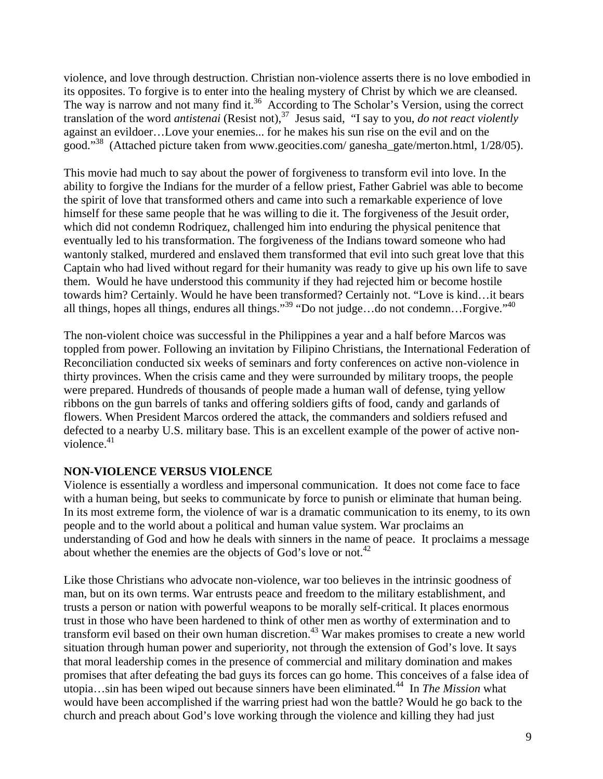violence, and love through destruction. Christian non-violence asserts there is no love embodied in its opposites. To forgive is to enter into the healing mystery of Christ by which we are cleansed. The way is narrow and not many find it.<sup>36</sup> According to The Scholar's Version, using the correct translation of the word *antistenai* (Resist not),[37](#page-14-36) Jesus said, "I say to you, *do not react violently* against an evildoer…Love your enemies... for he makes his sun rise on the evil and on the good."[38](#page-14-37) (Attached picture taken from www.geocities.com/ ganesha\_gate/merton.html, 1/28/05).

This movie had much to say about the power of forgiveness to transform evil into love. In the ability to forgive the Indians for the murder of a fellow priest, Father Gabriel was able to become the spirit of love that transformed others and came into such a remarkable experience of love himself for these same people that he was willing to die it. The forgiveness of the Jesuit order, which did not condemn Rodriquez, challenged him into enduring the physical penitence that eventually led to his transformation. The forgiveness of the Indians toward someone who had wantonly stalked, murdered and enslaved them transformed that evil into such great love that this Captain who had lived without regard for their humanity was ready to give up his own life to save them. Would he have understood this community if they had rejected him or become hostile towards him? Certainly. Would he have been transformed? Certainly not. "Love is kind…it bears all things, hopes all things, endures all things."<sup>39</sup> "Do not judge...do not condemn...Forgive."<sup>40</sup>

The non-violent choice was successful in the Philippines a year and a half before Marcos was toppled from power. Following an invitation by Filipino Christians, the International Federation of Reconciliation conducted six weeks of seminars and forty conferences on active non-violence in thirty provinces. When the crisis came and they were surrounded by military troops, the people were prepared. Hundreds of thousands of people made a human wall of defense, tying yellow ribbons on the gun barrels of tanks and offering soldiers gifts of food, candy and garlands of flowers. When President Marcos ordered the attack, the commanders and soldiers refused and defected to a nearby U.S. military base. This is an excellent example of the power of active nonviolence. $41$ 

#### **NON-VIOLENCE VERSUS VIOLENCE**

Violence is essentially a wordless and impersonal communication. It does not come face to face with a human being, but seeks to communicate by force to punish or eliminate that human being. In its most extreme form, the violence of war is a dramatic communication to its enemy, to its own people and to the world about a political and human value system. War proclaims an understanding of God and how he deals with sinners in the name of peace. It proclaims a message about whether the enemies are the objects of God's love or not.<sup>42</sup>

Like those Christians who advocate non-violence, war too believes in the intrinsic goodness of man, but on its own terms. War entrusts peace and freedom to the military establishment, and trusts a person or nation with powerful weapons to be morally self-critical. It places enormous trust in those who have been hardened to think of other men as worthy of extermination and to transform evil based on their own human discretion.<sup>43</sup> War makes promises to create a new world situation through human power and superiority, not through the extension of God's love. It says that moral leadership comes in the presence of commercial and military domination and makes promises that after defeating the bad guys its forces can go home. This conceives of a false idea of utopia…sin has been wiped out because sinners have been eliminated[.44](#page-14-10) In *The Mission* what would have been accomplished if the warring priest had won the battle? Would he go back to the church and preach about God's love working through the violence and killing they had just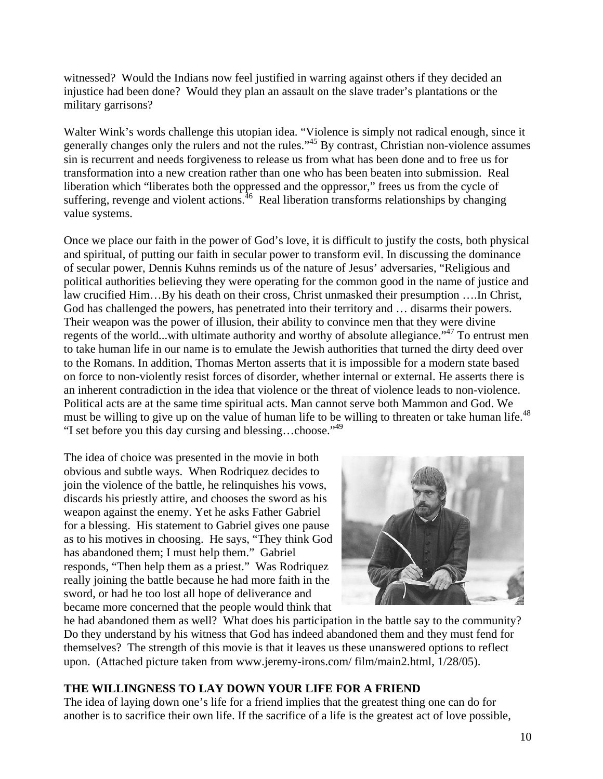witnessed? Would the Indians now feel justified in warring against others if they decided an injustice had been done? Would they plan an assault on the slave trader's plantations or the military garrisons?

Walter Wink's words challenge this utopian idea. "Violence is simply not radical enough, since it generally changes only the rulers and not the rules."<sup>45</sup> By contrast, Christian non-violence assumes sin is recurrent and needs forgiveness to release us from what has been done and to free us for transformation into a new creation rather than one who has been beaten into submission. Real liberation which "liberates both the oppressed and the oppressor," frees us from the cycle of suffering, revenge and violent actions.  $46$  Real liberation transforms relationships by changing value systems.

Once we place our faith in the power of God's love, it is difficult to justify the costs, both physical and spiritual, of putting our faith in secular power to transform evil. In discussing the dominance of secular power, Dennis Kuhns reminds us of the nature of Jesus' adversaries, "Religious and political authorities believing they were operating for the common good in the name of justice and law crucified Him…By his death on their cross, Christ unmasked their presumption ….In Christ, God has challenged the powers, has penetrated into their territory and … disarms their powers. Their weapon was the power of illusion, their ability to convince men that they were divine regents of the world...with ultimate authority and worthy of absolute allegiance.["47](#page-14-12) To entrust men to take human life in our name is to emulate the Jewish authorities that turned the dirty deed over to the Romans. In addition, Thomas Merton asserts that it is impossible for a modern state based on force to non-violently resist forces of disorder, whether internal or external. He asserts there is an inherent contradiction in the idea that violence or the threat of violence leads to non-violence. Political acts are at the same time spiritual acts. Man cannot serve both Mammon and God. We must be willing to give up on the value of human life to be willing to threaten or take human life.<sup>48</sup> "I set before you this day cursing and blessing...choose."<sup>[49](#page-14-14)</sup>

as to his motives in choosing. He says, "They think God The idea of choice was presented in the movie in both obvious and subtle ways. When Rodriquez decides to join the violence of the battle, he relinquishes his vows, discards his priestly attire, and chooses the sword as his weapon against the enemy. Yet he asks Father Gabriel for a blessing. His statement to Gabriel gives one pause has abandoned them; I must help them." Gabriel responds, "Then help them as a priest." Was Rodriquez really joining the battle because he had more faith in the sword, or had he too lost all hope of deliverance and became more concerned that the people would think that



he had abandoned them as well? What does his participation in the battle say to the community? Do they understand by his witness that God has indeed abandoned them and they must fend for themselves? The strength of this movie is that it leaves us these unanswered options to reflect upon. (Attached picture taken from www.jeremy-irons.com/ film/main2.html, 1/28/05).

#### **THE WILLINGNESS TO LAY DOWN YOUR LIFE FOR A FRIEND**

The idea of laying down one's life for a friend implies that the greatest thing one can do for another is to sacrifice their own life. If the sacrifice of a life is the greatest act of love possible,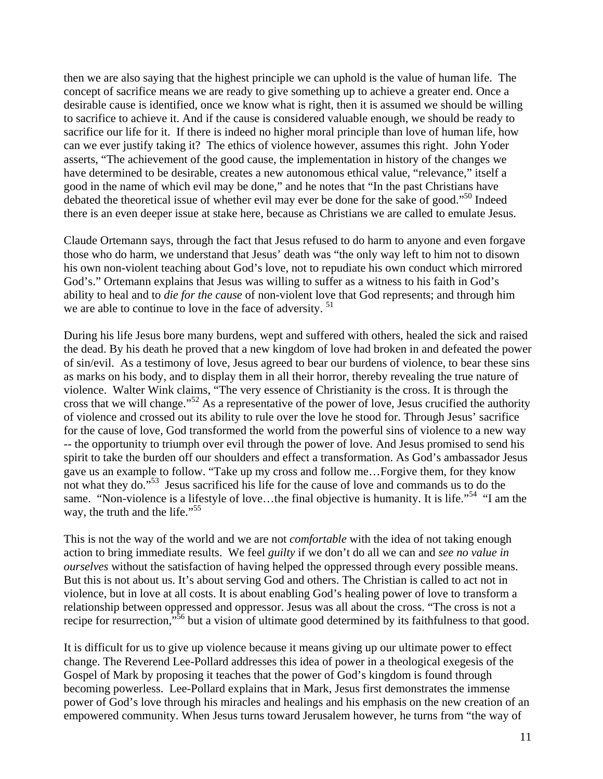then we are also saying that the highest principle we can uphold is the value of human life. The concept of sacrifice means we are ready to give something up to achieve a greater end. Once a desirable cause is identified, once we know what is right, then it is assumed we should be willing to sacrifice to achieve it. And if the cause is considered valuable enough, we should be ready to sacrifice our life for it. If there is indeed no higher moral principle than love of human life, how can we ever justify taking it? The ethics of violence however, assumes this right. John Yoder asserts, "The achievement of the good cause, the implementation in history of the changes we have determined to be desirable, creates a new autonomous ethical value, "relevance," itself a good in the name of which evil may be done," and he notes that "In the past Christians have debated the theoretical issue of whether evil may ever be done for the sake of good."<sup>50</sup> Indeed there is an even deeper issue at stake here, because as Christians we are called to emulate Jesus.

Claude Ortemann says, through the fact that Jesus refused to do harm to anyone and even forgave those who do harm, we understand that Jesus' death was "the only way left to him not to disown his own non-violent teaching about God's love, not to repudiate his own conduct which mirrored God's." Ortemann explains that Jesus was willing to suffer as a witness to his faith in God's ability to heal and to *die for the cause* of non-violent love that God represents; and through him we are able to continue to love in the face of adversity.<sup>51</sup>

During his life Jesus bore many burdens, wept and suffered with others, healed the sick and raised the dead. By his death he proved that a new kingdom of love had broken in and defeated the power of sin/evil. As a testimony of love, Jesus agreed to bear our burdens of violence, to bear these sins as marks on his body, and to display them in all their horror, thereby revealing the true nature of violence. Walter Wink claims, "The very essence of Christianity is the cross. It is through the cross that we will change."[52](#page-14-44) As a representative of the power of love, Jesus crucified the authority of violence and crossed out its ability to rule over the love he stood for. Through Jesus' sacrifice for the cause of love, God transformed the world from the powerful sins of violence to a new way -- the opportunity to triumph over evil through the power of love. And Jesus promised to send his spirit to take the burden off our shoulders and effect a transformation. As God's ambassador Jesus gave us an example to follow. "Take up my cross and follow me…Forgive them, for they know not what they do."<sup>53</sup> Jesus sacrificed his life for the cause of love and commands us to do the same. "Non-violence is a lifestyle of love...the final objective is humanity. It is life."<sup>54</sup> "I am the way, the truth and the life."<sup>55</sup>

This is not the way of the world and we are not *comfortable* with the idea of not taking enough action to bring immediate results. We feel *guilty* if we don't do all we can and *see no value in ourselves* without the satisfaction of having helped the oppressed through every possible means. But this is not about us. It's about serving God and others. The Christian is called to act not in violence, but in love at all costs. It is about enabling God's healing power of love to transform a relationship between oppressed and oppressor. Jesus was all about the cross. "The cross is not a recipe for resurrection,"<sup>56</sup> but a vision of ultimate good determined by its faithfulness to that good.

It is difficult for us to give up violence because it means giving up our ultimate power to effect change. The Reverend Lee-Pollard addresses this idea of power in a theological exegesis of the Gospel of Mark by proposing it teaches that the power of God's kingdom is found through becoming powerless. Lee-Pollard explains that in Mark, Jesus first demonstrates the immense power of God's love through his miracles and healings and his emphasis on the new creation of an empowered community. When Jesus turns toward Jerusalem however, he turns from "the way of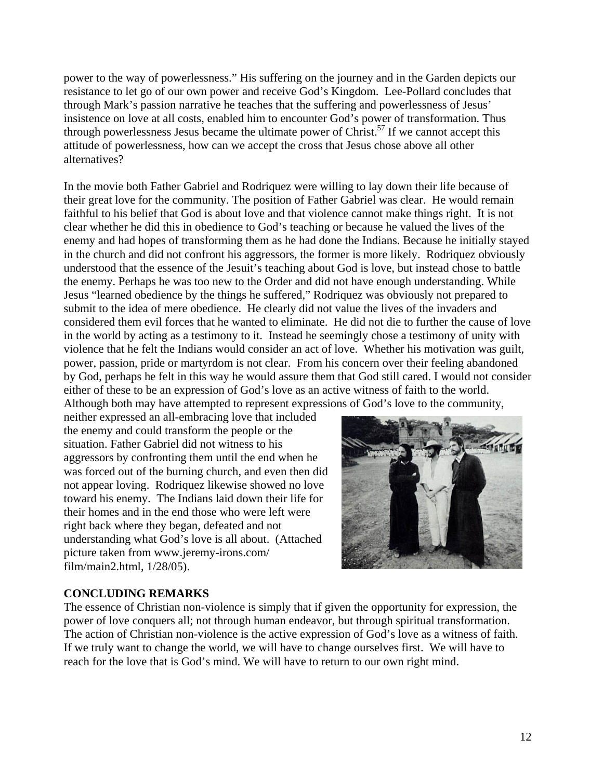power to the way of powerlessness." His suffering on the journey and in the Garden depicts our resistance to let go of our own power and receive God's Kingdom. Lee-Pollard concludes that through Mark's passion narrative he teaches that the suffering and powerlessness of Jesus' insistence on love at all costs, enabled him to encounter God's power of transformation. Thus through powerlessness Jesus became the ultimate power of  $Christ.57$  If we cannot accept this attitude of powerlessness, how can we accept the cross that Jesus chose above all other alternatives?

In the movie both Father Gabriel and Rodriquez were willing to lay down their life because of their great love for the community. The position of Father Gabriel was clear. He would remain faithful to his belief that God is about love and that violence cannot make things right. It is not clear whether he did this in obedience to God's teaching or because he valued the lives of the enemy and had hopes of transforming them as he had done the Indians. Because he initially stayed in the church and did not confront his aggressors, the former is more likely. Rodriquez obviously understood that the essence of the Jesuit's teaching about God is love, but instead chose to battle the enemy. Perhaps he was too new to the Order and did not have enough understanding. While Jesus "learned obedience by the things he suffered," Rodriquez was obviously not prepared to submit to the idea of mere obedience. He clearly did not value the lives of the invaders and considered them evil forces that he wanted to eliminate. He did not die to further the cause of love in the world by acting as a testimony to it. Instead he seemingly chose a testimony of unity with violence that he felt the Indians would consider an act of love. Whether his motivation was guilt, power, passion, pride or martyrdom is not clear. From his concern over their feeling abandoned by God, perhaps he felt in this way he would assure them that God still cared. I would not consider either of these to be an expression of God's love as an active witness of faith to the world. Although both may have attempted to represent expressions of God's love to the community,

neither expressed an all-embracing love that included the enemy and could transform the people or the situation. Father Gabriel did not witness to his aggressors by confronting them until the end when he was forced out of the burning church, and even then did not appear loving. Rodriquez likewise showed no love toward his enemy. The Indians laid down their life for their homes and in the end those who were left were right back where they began, defeated and not understanding what God's love is all about. (Attached picture taken from www.jeremy-irons.com/ film/main2.html, 1/28/05).



#### **CONCLUDING REMARKS**

The essence of Christian non-violence is simply that if given the opportunity for expression, the power of love conquers all; not through human endeavor, but through spiritual transformation. The action of Christian non-violence is the active expression of God's love as a witness of faith. If we truly want to change the world, we will have to change ourselves first. We will have to reach for the love that is God's mind. We will have to return to our own right mind.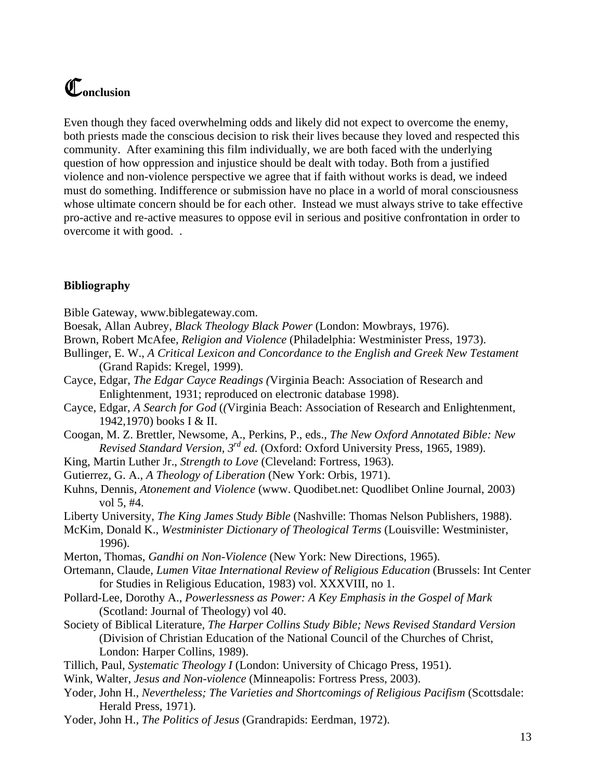### C**onclusion**

Even though they faced overwhelming odds and likely did not expect to overcome the enemy, both priests made the conscious decision to risk their lives because they loved and respected this community. After examining this film individually, we are both faced with the underlying question of how oppression and injustice should be dealt with today. Both from a justified violence and non-violence perspective we agree that if faith without works is dead, we indeed must do something. Indifference or submission have no place in a world of moral consciousness whose ultimate concern should be for each other. Instead we must always strive to take effective pro-active and re-active measures to oppose evil in serious and positive confrontation in order to overcome it with good. .

#### **Bibliography**

Bible Gateway, [www.biblegateway.com](http://www.biblegateway.com/).

- Boesak, Allan Aubrey, *Black Theology Black Power* (London: Mowbrays, 1976).
- Brown, Robert McAfee, *Religion and Violence* (Philadelphia: Westminister Press, 1973).
- Bullinger, E. W., *A Critical Lexicon and Concordance to the English and Greek New Testament*  (Grand Rapids: Kregel, 1999).
- Cayce, Edgar, *The Edgar Cayce Readings (*Virginia Beach: Association of Research and Enlightenment, 1931; reproduced on electronic database 1998).
- Cayce, Edgar, *A Search for God* (*(*Virginia Beach: Association of Research and Enlightenment, 1942,1970) books I & II.
- Coogan, M. Z. Brettler, Newsome, A., Perkins, P., eds., *The New Oxford Annotated Bible: New Revised Standard Version, 3rd ed.* (Oxford: Oxford University Press, 1965, 1989).
- King, Martin Luther Jr., *Strength to Love* (Cleveland: Fortress, 1963).
- Gutierrez, G. A., *A Theology of Liberation* (New York: Orbis, 1971).
- Kuhns, Dennis, *Atonement and Violence* (www. Quodibet.net: Quodlibet Online Journal, 2003) vol 5, #4.
- Liberty University, *The King James Study Bible* (Nashville: Thomas Nelson Publishers, 1988).
- McKim, Donald K., *Westminister Dictionary of Theological Terms* (Louisville: Westminister, 1996).
- Merton, Thomas, *Gandhi on Non-Violence* (New York: New Directions, 1965).
- Ortemann, Claude, *Lumen Vitae International Review of Religious Education* (Brussels: Int Center for Studies in Religious Education, 1983) vol. XXXVIII, no 1.
- Pollard-Lee, Dorothy A., *Powerlessness as Power: A Key Emphasis in the Gospel of Mark* (Scotland: Journal of Theology) vol 40.
- Society of Biblical Literature, *The Harper Collins Study Bible; News Revised Standard Version* (Division of Christian Education of the National Council of the Churches of Christ, London: Harper Collins, 1989).
- Tillich, Paul, *Systematic Theology I* (London: University of Chicago Press, 1951).
- Wink, Walter, *Jesus and Non-violence* (Minneapolis: Fortress Press, 2003).
- Yoder, John H., *Nevertheless; The Varieties and Shortcomings of Religious Pacifism* (Scottsdale: Herald Press, 1971).
- Yoder, John H., *The Politics of Jesus* (Grandrapids: Eerdman, 1972).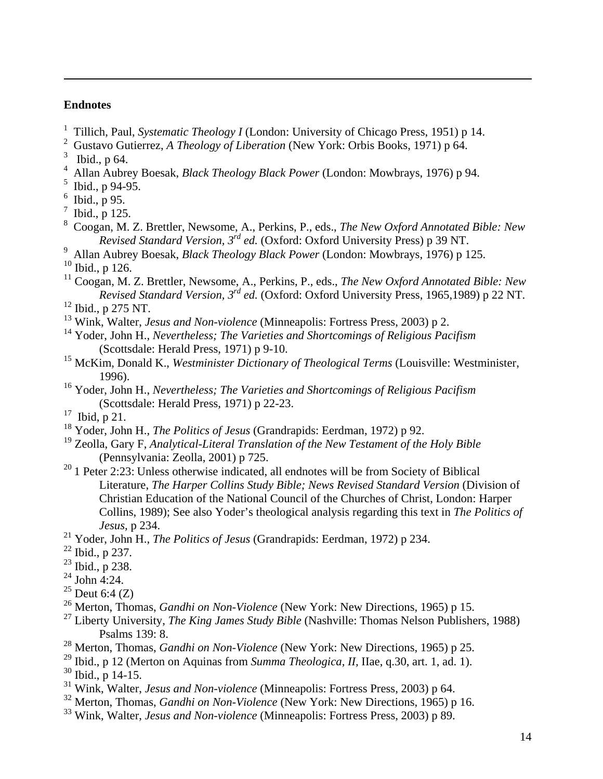#### **Endnotes**

 $\overline{a}$ 

- <sup>1</sup> Tillich, Paul, *Systematic Theology I* (London: University of Chicago Press, 1951) p 14.
- 2 Gustavo Gutierrez, *A Theology of Liberation* (New York: Orbis Books, 1971) p 64.
- $3$  Ibid., p 64.
- 4 Allan Aubrey Boesak, *Black Theology Black Power* (London: Mowbrays, 1976) p 94.
- $^5$  Ibid., p 94-95.
- $6$  Ibid., p 95.
- $^7$  Ibid., p 125.
- 8 Coogan, M. Z. Brettler, Newsome, A., Perkins, P., eds., *The New Oxford Annotated Bible: New Revised Standard Version, 3rd ed.* (Oxford: Oxford University Press) p 39 NT.
- 9 Allan Aubrey Boesak, *Black Theology Black Power* (London: Mowbrays, 1976) p 125.
- 10 Ibid., p 126.

11 Coogan, M. Z. Brettler, Newsome, A., Perkins, P., eds., *The New Oxford Annotated Bible: New Revised Standard Version, 3rd ed.* (Oxford: Oxford University Press, 1965,1989) p 22 NT.

- 12 Ibid., p 275 NT.
- 13 Wink, Walter, *Jesus and Non-violence* (Minneapolis: Fortress Press, 2003) p 2.
- 14 Yoder, John H., *Nevertheless; The Varieties and Shortcomings of Religious Pacifism* (Scottsdale: Herald Press, 1971) p 9-10.
- <sup>15</sup> McKim, Donald K., *Westminister Dictionary of Theological Terms* (Louisville: Westminister, 1996).
- 16 Yoder, John H., *Nevertheless; The Varieties and Shortcomings of Religious Pacifism* (Scottsdale: Herald Press, 1971) p 22-23.
- 17 Ibid, p 21.
- 18 Yoder, John H., *The Politics of Jesus* (Grandrapids: Eerdman, 1972) p 92.
- 19 Zeolla, Gary F, *Analytical-Literal Translation of the New Testament of the Holy Bible* (Pennsylvania: Zeolla, 2001) p 725.
- $20$  1 Peter 2:23: Unless otherwise indicated, all endnotes will be from Society of Biblical Literature, *The Harper Collins Study Bible; News Revised Standard Version* (Division of Christian Education of the National Council of the Churches of Christ, London: Harper Collins, 1989); See also Yoder's theological analysis regarding this text in *The Politics of Jesus,* p 234.
- 21 Yoder, John H., *The Politics of Jesus* (Grandrapids: Eerdman, 1972) p 234.
- 22 Ibid., p 237.
- $23$  Ibid., p 238.
- $24$  John 4:24.
- $25$  Deut 6:4 (Z)
- <sup>26</sup> Merton, Thomas, *Gandhi on Non-Violence* (New York: New Directions, 1965) p 15.
- 27 Liberty University, *The King James Study Bible* (Nashville: Thomas Nelson Publishers, 1988) Psalms 139: 8.
- 28 Merton, Thomas, *Gandhi on Non-Violence* (New York: New Directions, 1965) p 25.
- 29 Ibid., p 12 (Merton on Aquinas from *Summa Theologica, II,* IIae, q.30, art. 1, ad. 1).
- 30 Ibid., p 14-15.
- 31 Wink, Walter, *Jesus and Non-violence* (Minneapolis: Fortress Press, 2003) p 64.
- 32 Merton, Thomas, *Gandhi on Non-Violence* (New York: New Directions, 1965) p 16.
- 33 Wink, Walter, *Jesus and Non-violence* (Minneapolis: Fortress Press, 2003) p 89.